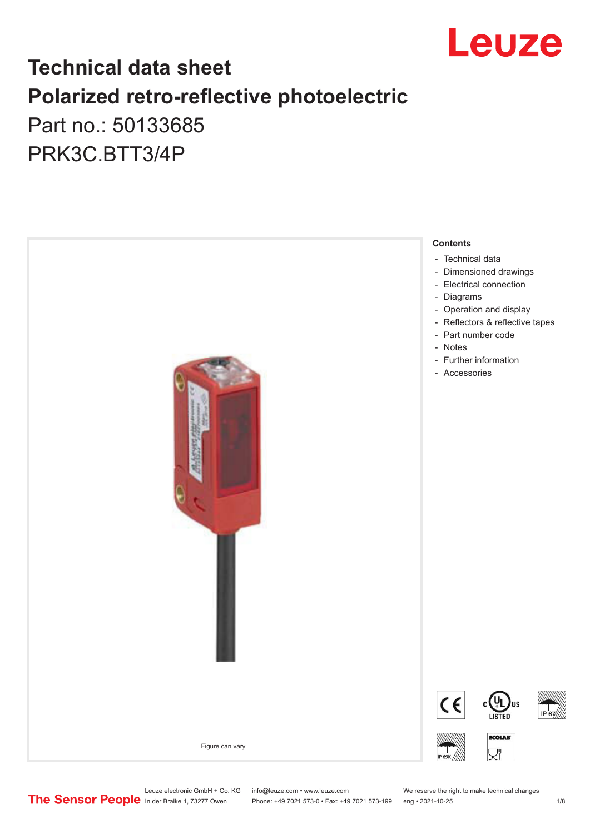

# **Technical data sheet Polarized retro-reflective photoelectric**  Part no.: 50133685

PRK3C.BTT3/4P



Leuze electronic GmbH + Co. KG info@leuze.com • www.leuze.com We reserve the right to make technical changes<br>
The Sensor People in der Braike 1, 73277 Owen Phone: +49 7021 573-0 • Fax: +49 7021 573-199 eng • 2021-10-25

Phone: +49 7021 573-0 • Fax: +49 7021 573-199 eng • 2021-10-25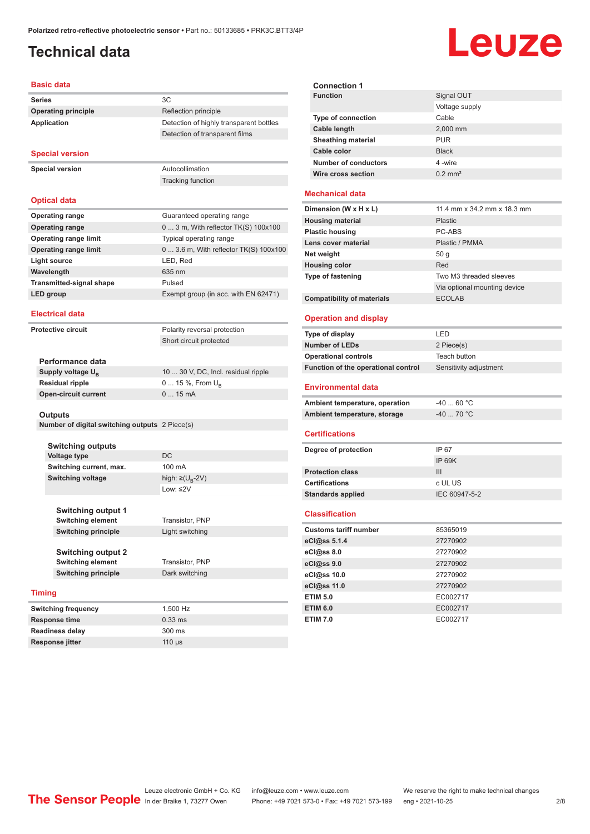# <span id="page-1-0"></span>**Technical data**

# Leuze

#### **Basic data**

| <b>Series</b>              | 3C                                      |
|----------------------------|-----------------------------------------|
| <b>Operating principle</b> | Reflection principle                    |
| Application                | Detection of highly transparent bottles |
|                            | Detection of transparent films          |
| <b>Special version</b>     |                                         |

**Special version** Autocollimation

### **Optical data**

| <b>Operating range</b>          | Guaranteed operating range             |
|---------------------------------|----------------------------------------|
| <b>Operating range</b>          | $03$ m, With reflector TK(S) $100x100$ |
| <b>Operating range limit</b>    | Typical operating range                |
| <b>Operating range limit</b>    | 0  3.6 m, With reflector TK(S) 100x100 |
| Light source                    | LED, Red                               |
| Wavelength                      | 635 nm                                 |
| <b>Transmitted-signal shape</b> | Pulsed                                 |
| <b>LED</b> group                | Exempt group (in acc. with EN 62471)   |

Tracking function

#### **Electrical data**

**Protective circuit** Polarity reversal protection

Short circuit protected

| Performance data              |                                     |
|-------------------------------|-------------------------------------|
| Supply voltage U <sub>n</sub> | 10  30 V, DC, Incl. residual ripple |
| Residual ripple               | $0 15 \%$ , From $U_{p}$            |
| Open-circuit current          | $015$ mA                            |
|                               |                                     |

#### **Outputs**

**Number of digital switching outputs** 2 Piece(s)

| <b>Switching outputs</b> |                                   |
|--------------------------|-----------------------------------|
| <b>Voltage type</b>      | DC                                |
| Switching current, max.  | 100 mA                            |
| <b>Switching voltage</b> | high: $\geq$ (U <sub>p</sub> -2V) |
|                          | Low: $\leq$ 2V                    |

**Switching output 1 Switching element** Transistor, PNP

Low: ≤2V **Switching principle** Light switching

**Switching output 2 Switching element** Transistor, PNP **Switching principle** Dark switching

### **Timing**

| <b>Switching frequency</b> | 1.500 Hz         |
|----------------------------|------------------|
| <b>Response time</b>       | $0.33$ ms        |
| <b>Readiness delay</b>     | $300 \text{ ms}$ |
| <b>Response jitter</b>     | $110$ $\mu$ s    |

| <b>Connection 1</b>         |                       |
|-----------------------------|-----------------------|
| <b>Function</b>             | Signal OUT            |
|                             | Voltage supply        |
| <b>Type of connection</b>   | Cable                 |
| Cable length                | 2,000 mm              |
| <b>Sheathing material</b>   | <b>PUR</b>            |
| Cable color                 | <b>Black</b>          |
| <b>Number of conductors</b> | 4-wire                |
| Wire cross section          | $0.2$ mm <sup>2</sup> |
|                             |                       |

### **Mechanical data**

| Dimension (W x H x L)             | 11.4 mm x 34.2 mm x 18.3 mm  |
|-----------------------------------|------------------------------|
| <b>Housing material</b>           | <b>Plastic</b>               |
| <b>Plastic housing</b>            | PC-ABS                       |
| Lens cover material               | Plastic / PMMA               |
| Net weight                        | 50q                          |
| <b>Housing color</b>              | Red                          |
| <b>Type of fastening</b>          | Two M3 threaded sleeves      |
|                                   | Via optional mounting device |
| <b>Compatibility of materials</b> | <b>ECOLAB</b>                |

### **Operation and display**

| Type of display                     | LED                    |
|-------------------------------------|------------------------|
| <b>Number of LEDs</b>               | 2 Piece(s)             |
| <b>Operational controls</b>         | Teach button           |
| Function of the operational control | Sensitivity adjustment |
| <b>Environmental data</b>           |                        |
| Ambient temperature, operation      | $-4060 °C$             |
| Ambient temperature, storage        | $-40$ 70 °C            |
| <b>Certifications</b>               |                        |

| Degree of protection     | IP 67         |
|--------------------------|---------------|
|                          | IP 69K        |
| <b>Protection class</b>  | Ш             |
| <b>Certifications</b>    | c UL US       |
| <b>Standards applied</b> | IEC 60947-5-2 |
|                          |               |

### **Classification**

| <b>Customs tariff number</b> | 85365019 |
|------------------------------|----------|
| eCl@ss 5.1.4                 | 27270902 |
| eCl@ss 8.0                   | 27270902 |
| eCl@ss 9.0                   | 27270902 |
| eCl@ss 10.0                  | 27270902 |
| eCl@ss 11.0                  | 27270902 |
| <b>ETIM 5.0</b>              | EC002717 |
| <b>ETIM 6.0</b>              | EC002717 |
| <b>ETIM 7.0</b>              | EC002717 |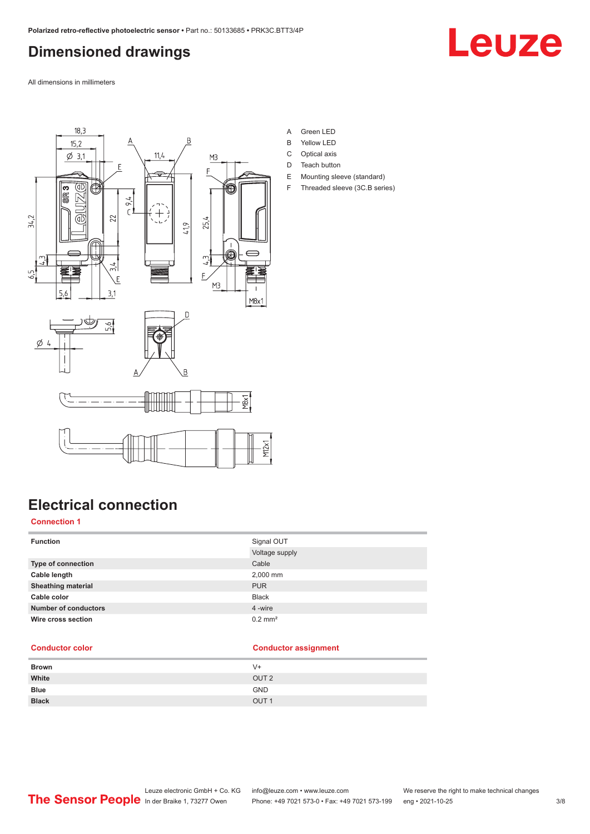# <span id="page-2-0"></span>**Dimensioned drawings**



All dimensions in millimeters



- A Green LED
- B Yellow LED
- C Optical axis
- D Teach button
- E Mounting sleeve (standard)
- F Threaded sleeve (3C.B series)

# **Electrical connection**

### **Connection 1**

| <b>Function</b>             | Signal OUT            |
|-----------------------------|-----------------------|
|                             | Voltage supply        |
| Type of connection          | Cable                 |
| Cable length                | 2,000 mm              |
| <b>Sheathing material</b>   | <b>PUR</b>            |
| Cable color                 | <b>Black</b>          |
| <b>Number of conductors</b> | 4 -wire               |
| Wire cross section          | $0.2$ mm <sup>2</sup> |
|                             |                       |

### **Conductor color Conductor assignment**

| <b>Brown</b> | $V +$            |
|--------------|------------------|
| White        | OUT <sub>2</sub> |
| <b>Blue</b>  | <b>GND</b>       |
| <b>Black</b> | OUT <sub>1</sub> |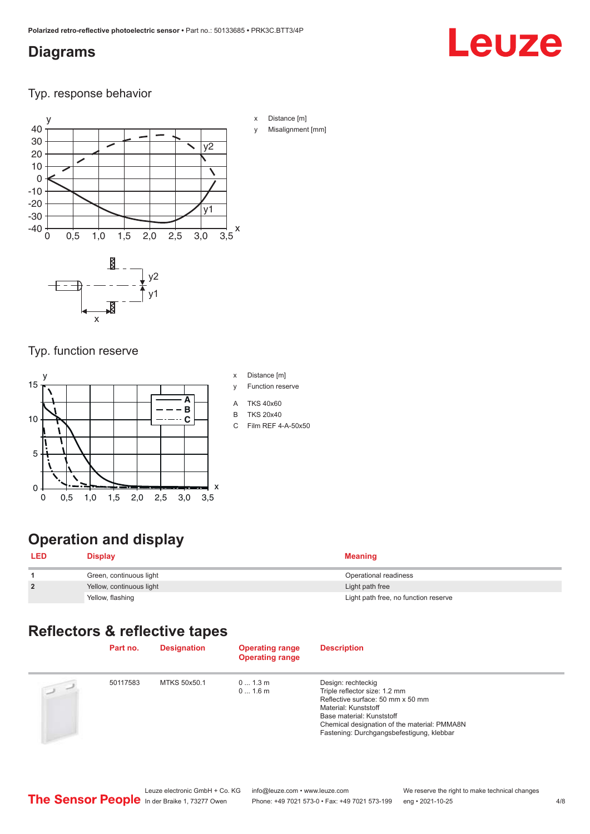## <span id="page-3-0"></span>**Diagrams**

# Leuze

Typ. response behavior



- x Distance [m]
- Misalignment [mm]

Typ. function reserve

x



# **Operation and display**

| <b>LED</b>     | Display                  | <b>Meaning</b>                       |
|----------------|--------------------------|--------------------------------------|
|                | Green, continuous light  | Operational readiness                |
| $\overline{2}$ | Yellow, continuous light | Light path free                      |
|                | Yellow, flashing         | Light path free, no function reserve |

# **Reflectors & reflective tapes**

|           | Part no. | <b>Designation</b> | <b>Operating range</b><br><b>Operating range</b> | <b>Description</b>                                                                                                                                                                                                                         |
|-----------|----------|--------------------|--------------------------------------------------|--------------------------------------------------------------------------------------------------------------------------------------------------------------------------------------------------------------------------------------------|
| $\supset$ | 50117583 | MTKS 50x50.1       | 01.3m<br>01.6m                                   | Design: rechteckig<br>Triple reflector size: 1.2 mm<br>Reflective surface: 50 mm x 50 mm<br>Material: Kunststoff<br>Base material: Kunststoff<br>Chemical designation of the material: PMMA8N<br>Fastening: Durchgangsbefestigung, klebbar |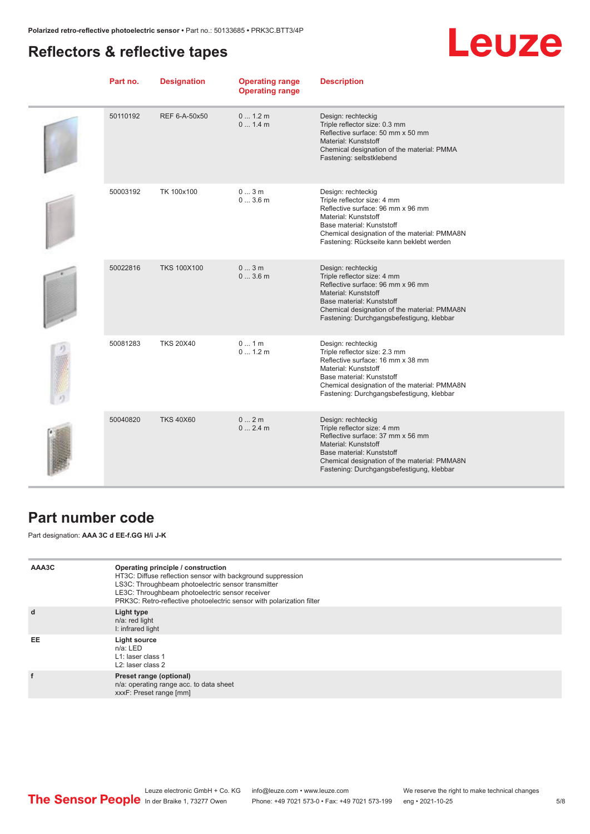# <span id="page-4-0"></span>**Reflectors & reflective tapes**

# Leuze

| Part no. | <b>Designation</b> | <b>Operating range</b><br><b>Operating range</b> | <b>Description</b>                                                                                                                                                                                                                         |
|----------|--------------------|--------------------------------------------------|--------------------------------------------------------------------------------------------------------------------------------------------------------------------------------------------------------------------------------------------|
| 50110192 | REF 6-A-50x50      | 0 1.2 m<br>0 1.4 m                               | Design: rechteckig<br>Triple reflector size: 0.3 mm<br>Reflective surface: 50 mm x 50 mm<br>Material: Kunststoff<br>Chemical designation of the material: PMMA<br>Fastening: selbstklebend                                                 |
| 50003192 | TK 100x100         | 03m<br>03.6m                                     | Design: rechteckig<br>Triple reflector size: 4 mm<br>Reflective surface: 96 mm x 96 mm<br>Material: Kunststoff<br>Base material: Kunststoff<br>Chemical designation of the material: PMMA8N<br>Fastening: Rückseite kann beklebt werden    |
| 50022816 | <b>TKS 100X100</b> | 03m<br>03.6m                                     | Design: rechteckig<br>Triple reflector size: 4 mm<br>Reflective surface: 96 mm x 96 mm<br>Material: Kunststoff<br>Base material: Kunststoff<br>Chemical designation of the material: PMMA8N<br>Fastening: Durchgangsbefestigung, klebbar   |
| 50081283 | <b>TKS 20X40</b>   | 01m<br>01.2m                                     | Design: rechteckig<br>Triple reflector size: 2.3 mm<br>Reflective surface: 16 mm x 38 mm<br>Material: Kunststoff<br>Base material: Kunststoff<br>Chemical designation of the material: PMMA8N<br>Fastening: Durchgangsbefestigung, klebbar |
| 50040820 | <b>TKS 40X60</b>   | 02m<br>02.4m                                     | Design: rechteckig<br>Triple reflector size: 4 mm<br>Reflective surface: 37 mm x 56 mm<br>Material: Kunststoff<br>Base material: Kunststoff<br>Chemical designation of the material: PMMA8N<br>Fastening: Durchgangsbefestigung, klebbar   |

## **Part number code**

Part designation: **AAA 3C d EE-f.GG H/i J-K**

| AAA3C | Operating principle / construction<br>HT3C: Diffuse reflection sensor with background suppression<br>LS3C: Throughbeam photoelectric sensor transmitter<br>LE3C: Throughbeam photoelectric sensor receiver<br>PRK3C: Retro-reflective photoelectric sensor with polarization filter |
|-------|-------------------------------------------------------------------------------------------------------------------------------------------------------------------------------------------------------------------------------------------------------------------------------------|
| d     | Light type<br>n/a: red light<br>I: infrared light                                                                                                                                                                                                                                   |
| EE    | Light source<br>$n/a$ : LED<br>L1: laser class 1<br>L <sub>2</sub> : laser class 2                                                                                                                                                                                                  |
|       | Preset range (optional)<br>n/a: operating range acc. to data sheet<br>xxxF: Preset range [mm]                                                                                                                                                                                       |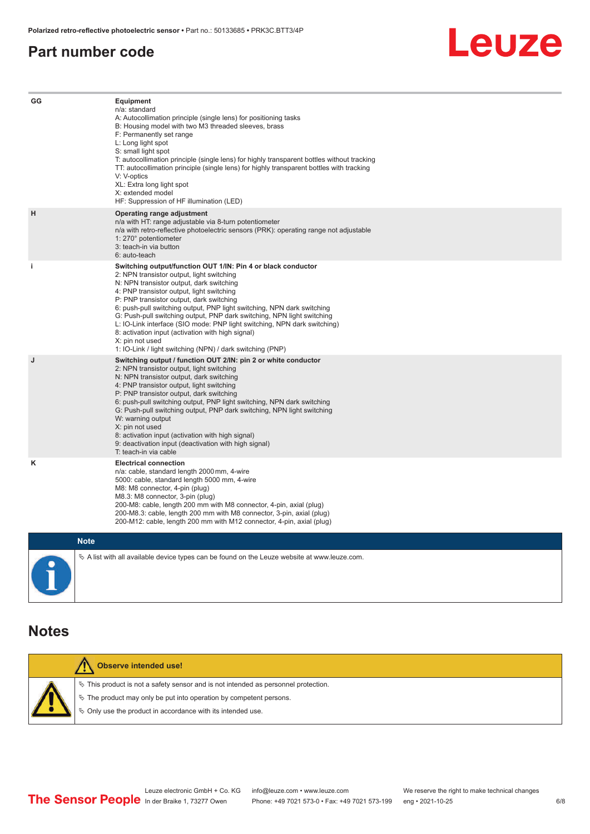### <span id="page-5-0"></span>**Part number code**



| GG          | <b>Equipment</b><br>n/a: standard<br>A: Autocollimation principle (single lens) for positioning tasks<br>B: Housing model with two M3 threaded sleeves, brass<br>F: Permanently set range<br>L: Long light spot<br>S: small light spot<br>T: autocollimation principle (single lens) for highly transparent bottles without tracking<br>TT: autocollimation principle (single lens) for highly transparent bottles with tracking<br>V: V-optics<br>XL: Extra long light spot<br>X: extended model<br>HF: Suppression of HF illumination (LED)                                                                       |
|-------------|---------------------------------------------------------------------------------------------------------------------------------------------------------------------------------------------------------------------------------------------------------------------------------------------------------------------------------------------------------------------------------------------------------------------------------------------------------------------------------------------------------------------------------------------------------------------------------------------------------------------|
| н           | Operating range adjustment<br>n/a with HT: range adjustable via 8-turn potentiometer<br>n/a with retro-reflective photoelectric sensors (PRK): operating range not adjustable<br>1: 270° potentiometer<br>3: teach-in via button<br>6: auto-teach                                                                                                                                                                                                                                                                                                                                                                   |
| j.          | Switching output/function OUT 1/IN: Pin 4 or black conductor<br>2: NPN transistor output, light switching<br>N: NPN transistor output, dark switching<br>4: PNP transistor output, light switching<br>P: PNP transistor output, dark switching<br>6: push-pull switching output, PNP light switching, NPN dark switching<br>G: Push-pull switching output, PNP dark switching, NPN light switching<br>L: IO-Link interface (SIO mode: PNP light switching, NPN dark switching)<br>8: activation input (activation with high signal)<br>X: pin not used<br>1: IO-Link / light switching (NPN) / dark switching (PNP) |
| J           | Switching output / function OUT 2/IN: pin 2 or white conductor<br>2: NPN transistor output, light switching<br>N: NPN transistor output, dark switching<br>4: PNP transistor output, light switching<br>P: PNP transistor output, dark switching<br>6: push-pull switching output, PNP light switching, NPN dark switching<br>G: Push-pull switching output, PNP dark switching, NPN light switching<br>W: warning output<br>X: pin not used<br>8: activation input (activation with high signal)<br>9: deactivation input (deactivation with high signal)<br>T: teach-in via cable                                 |
| κ           | <b>Electrical connection</b><br>n/a: cable, standard length 2000 mm, 4-wire<br>5000: cable, standard length 5000 mm, 4-wire<br>M8: M8 connector, 4-pin (plug)<br>M8.3: M8 connector, 3-pin (plug)<br>200-M8: cable, length 200 mm with M8 connector, 4-pin, axial (plug)<br>200-M8.3: cable, length 200 mm with M8 connector, 3-pin, axial (plug)<br>200-M12: cable, length 200 mm with M12 connector, 4-pin, axial (plug)                                                                                                                                                                                          |
| <b>Note</b> |                                                                                                                                                                                                                                                                                                                                                                                                                                                                                                                                                                                                                     |

 $\%$  A list with all available device types can be found on the Leuze website at www.leuze.com.

### **Notes**

|  | <b>Observe intended use!</b>                                                          |
|--|---------------------------------------------------------------------------------------|
|  | $\%$ This product is not a safety sensor and is not intended as personnel protection. |
|  | $\&$ The product may only be put into operation by competent persons.                 |
|  | ♦ Only use the product in accordance with its intended use.                           |
|  |                                                                                       |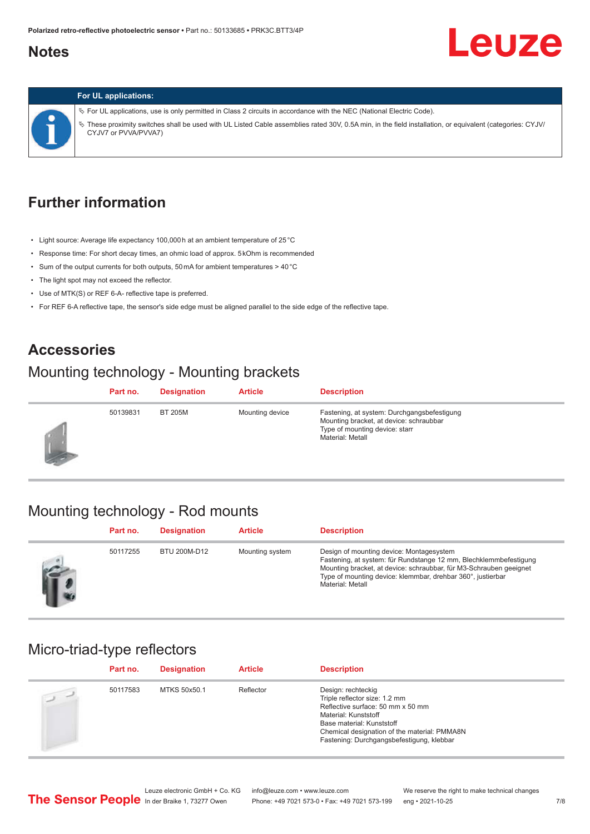## <span id="page-6-0"></span>**Notes**

# Leuze



#### **For UL applications:**

ª For UL applications, use is only permitted in Class 2 circuits in accordance with the NEC (National Electric Code). ª These proximity switches shall be used with UL Listed Cable assemblies rated 30V, 0.5A min, in the field installation, or equivalent (categories: CYJV/ CYJV7 or PVVA/PVVA7)

# **Further information**

- Light source: Average life expectancy 100,000 h at an ambient temperature of 25 °C
- Response time: For short decay times, an ohmic load of approx. 5 kOhm is recommended
- Sum of the output currents for both outputs, 50 mA for ambient temperatures > 40 °C
- The light spot may not exceed the reflector.
- Use of MTK(S) or REF 6-A- reflective tape is preferred.
- For REF 6-A reflective tape, the sensor's side edge must be aligned parallel to the side edge of the reflective tape.

### **Accessories**

### Mounting technology - Mounting brackets

|    | Part no. | <b>Designation</b> | <b>Article</b>  | <b>Description</b>                                                                                                                           |
|----|----------|--------------------|-----------------|----------------------------------------------------------------------------------------------------------------------------------------------|
| 53 | 50139831 | <b>BT 205M</b>     | Mounting device | Fastening, at system: Durchgangsbefestigung<br>Mounting bracket, at device: schraubbar<br>Type of mounting device: starr<br>Material: Metall |

### Mounting technology - Rod mounts

| Part no. | <b>Designation</b> | <b>Article</b>  | <b>Description</b>                                                                                                                                                                                                                                                     |
|----------|--------------------|-----------------|------------------------------------------------------------------------------------------------------------------------------------------------------------------------------------------------------------------------------------------------------------------------|
| 50117255 | BTU 200M-D12       | Mounting system | Design of mounting device: Montagesystem<br>Fastening, at system: für Rundstange 12 mm, Blechklemmbefestigung<br>Mounting bracket, at device: schraubbar, für M3-Schrauben geeignet<br>Type of mounting device: klemmbar, drehbar 360°, justierbar<br>Material: Metall |

### Micro-triad-type reflectors

| Part no. | <b>Designation</b> | <b>Article</b> | <b>Description</b>                                                                                                                                                                                                                         |
|----------|--------------------|----------------|--------------------------------------------------------------------------------------------------------------------------------------------------------------------------------------------------------------------------------------------|
| 50117583 | MTKS 50x50.1       | Reflector      | Design: rechteckig<br>Triple reflector size: 1.2 mm<br>Reflective surface: 50 mm x 50 mm<br>Material: Kunststoff<br>Base material: Kunststoff<br>Chemical designation of the material: PMMA8N<br>Fastening: Durchgangsbefestigung, klebbar |